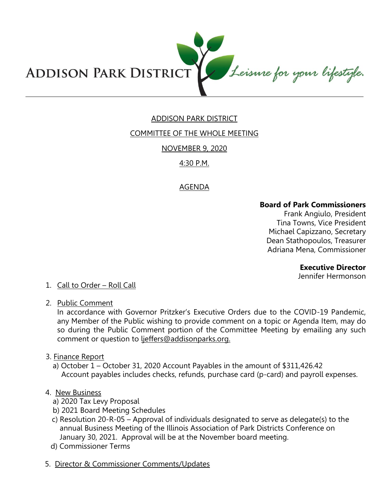

# ADDISON PARK DISTRICT

## COMMITTEE OF THE WHOLE MEETING

NOVEMBER 9, 2020

# 4:30 P.M.

# AGENDA

## **Board of Park Commissioners**

Frank Angiulo, President Tina Towns, Vice President Michael Capizzano, Secretary Dean Stathopoulos, Treasurer Adriana Mena, Commissioner

**Executive Director** 

Jennifer Hermonson

### 1. Call to Order – Roll Call

2. Public Comment

In accordance with Governor Pritzker's Executive Orders due to the COVID-19 Pandemic, any Member of the Public wishing to provide comment on a topic or Agenda Item, may do so during the Public Comment portion of the Committee Meeting by emailing any such comment or question to ljeffers@addisonparks.org.

- 3. Finance Report
	- a) October 1 October 31, 2020 Account Payables in the amount of \$311,426.42 Account payables includes checks, refunds, purchase card (p-card) and payroll expenses.

### 4. New Business

- a) 2020 Tax Levy Proposal
- b) 2021 Board Meeting Schedules
- c) Resolution 20-R-05 Approval of individuals designated to serve as delegate(s) to the annual Business Meeting of the Illinois Association of Park Districts Conference on January 30, 2021. Approval will be at the November board meeting.
- d) Commissioner Terms
- 5. Director & Commissioner Comments/Updates